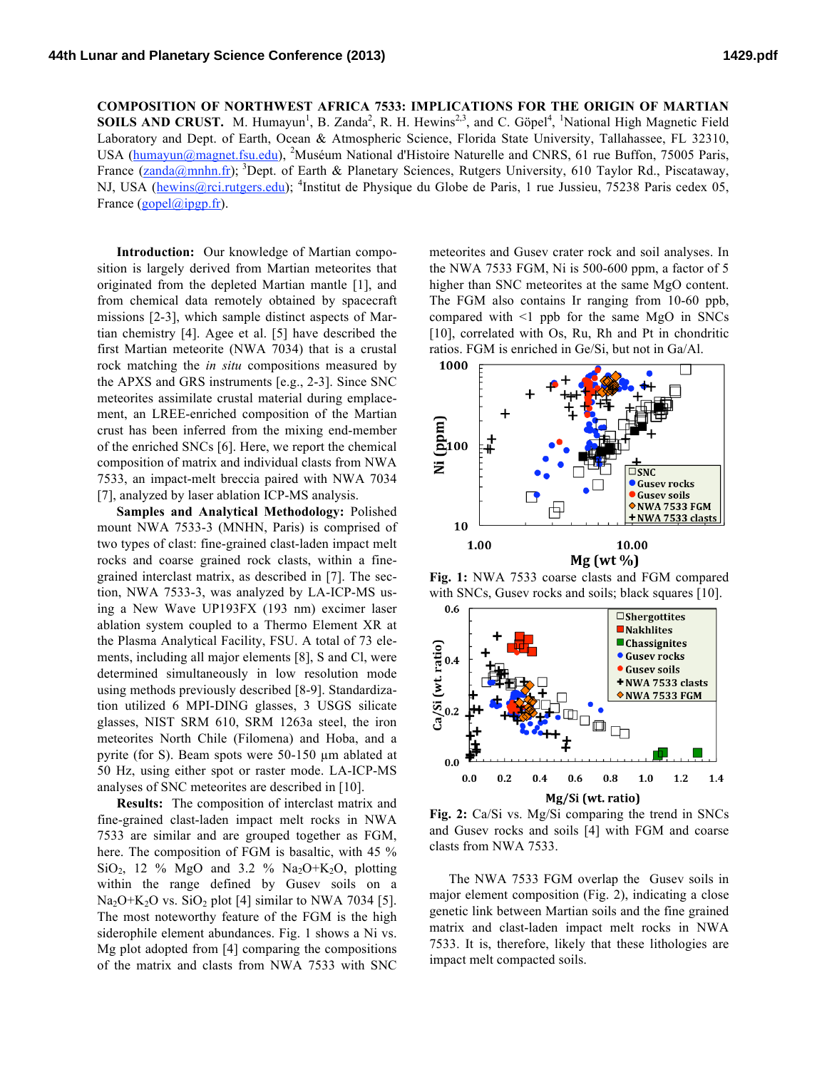**COMPOSITION OF NORTHWEST AFRICA 7533: IMPLICATIONS FOR THE ORIGIN OF MARTIAN SOILS AND CRUST.** M. Humayun<sup>1</sup>, B. Zanda<sup>2</sup>, R. H. Hewins<sup>2,3</sup>, and C. Göpel<sup>4</sup>, <sup>1</sup>National High Magnetic Field Laboratory and Dept. of Earth, Ocean & Atmospheric Science, Florida State University, Tallahassee, FL 32310, USA (humayun@magnet.fsu.edu), <sup>2</sup>Muséum National d'Histoire Naturelle and CNRS, 61 rue Buffon, 75005 Paris, France (zanda@mnhn.fr); <sup>3</sup>Dept. of Earth & Planetary Sciences, Rutgers University, 610 Taylor Rd., Piscataway, NJ, USA (hewins@rci.rutgers.edu); <sup>4</sup>Institut de Physique du Globe de Paris, 1 rue Jussieu, 75238 Paris cedex 05, France  $(gopel@ipgp.fr)$ .

**Introduction:** Our knowledge of Martian composition is largely derived from Martian meteorites that originated from the depleted Martian mantle [1], and from chemical data remotely obtained by spacecraft missions [2-3], which sample distinct aspects of Martian chemistry [4]. Agee et al. [5] have described the first Martian meteorite (NWA 7034) that is a crustal rock matching the *in situ* compositions measured by the APXS and GRS instruments [e.g., 2-3]. Since SNC meteorites assimilate crustal material during emplacement, an LREE-enriched composition of the Martian crust has been inferred from the mixing end-member of the enriched SNCs [6]. Here, we report the chemical composition of matrix and individual clasts from NWA 7533, an impact-melt breccia paired with NWA 7034 [7], analyzed by laser ablation ICP-MS analysis.

**Samples and Analytical Methodology:** Polished mount NWA 7533-3 (MNHN, Paris) is comprised of two types of clast: fine-grained clast-laden impact melt rocks and coarse grained rock clasts, within a finegrained interclast matrix, as described in [7]. The section, NWA 7533-3, was analyzed by LA-ICP-MS using a New Wave UP193FX (193 nm) excimer laser ablation system coupled to a Thermo Element XR at the Plasma Analytical Facility, FSU. A total of 73 elements, including all major elements [8], S and Cl, were determined simultaneously in low resolution mode using methods previously described [8-9]. Standardization utilized 6 MPI-DING glasses, 3 USGS silicate glasses, NIST SRM 610, SRM 1263a steel, the iron meteorites North Chile (Filomena) and Hoba, and a pyrite (for S). Beam spots were 50-150 µm ablated at 50 Hz, using either spot or raster mode. LA-ICP-MS analyses of SNC meteorites are described in [10].

**Results:** The composition of interclast matrix and fine-grained clast-laden impact melt rocks in NWA 7533 are similar and are grouped together as FGM, here. The composition of FGM is basaltic, with 45 % SiO<sub>2</sub>, 12 % MgO and 3.2 % Na<sub>2</sub>O+K<sub>2</sub>O, plotting within the range defined by Gusev soils on a  $Na<sub>2</sub>O+K<sub>2</sub>O$  vs.  $SiO<sub>2</sub>$  plot [4] similar to NWA 7034 [5]. The most noteworthy feature of the FGM is the high siderophile element abundances. Fig. 1 shows a Ni vs. Mg plot adopted from [4] comparing the compositions of the matrix and clasts from NWA 7533 with SNC meteorites and Gusev crater rock and soil analyses. In the NWA 7533 FGM, Ni is 500-600 ppm, a factor of 5 higher than SNC meteorites at the same MgO content. The FGM also contains Ir ranging from 10-60 ppb, compared with  $\leq 1$  ppb for the same MgO in SNCs [10], correlated with Os, Ru, Rh and Pt in chondritic ratios. FGM is enriched in Ge/Si, but not in Ga/Al.



**Fig. 1:** NWA 7533 coarse clasts and FGM compared with SNCs, Gusev rocks and soils; black squares [10].



**Fig. 2:** Ca/Si vs. Mg/Si comparing the trend in SNCs and Gusev rocks and soils [4] with FGM and coarse clasts from NWA 7533.

The NWA 7533 FGM overlap the Gusev soils in major element composition (Fig. 2), indicating a close genetic link between Martian soils and the fine grained matrix and clast-laden impact melt rocks in NWA 7533. It is, therefore, likely that these lithologies are impact melt compacted soils.